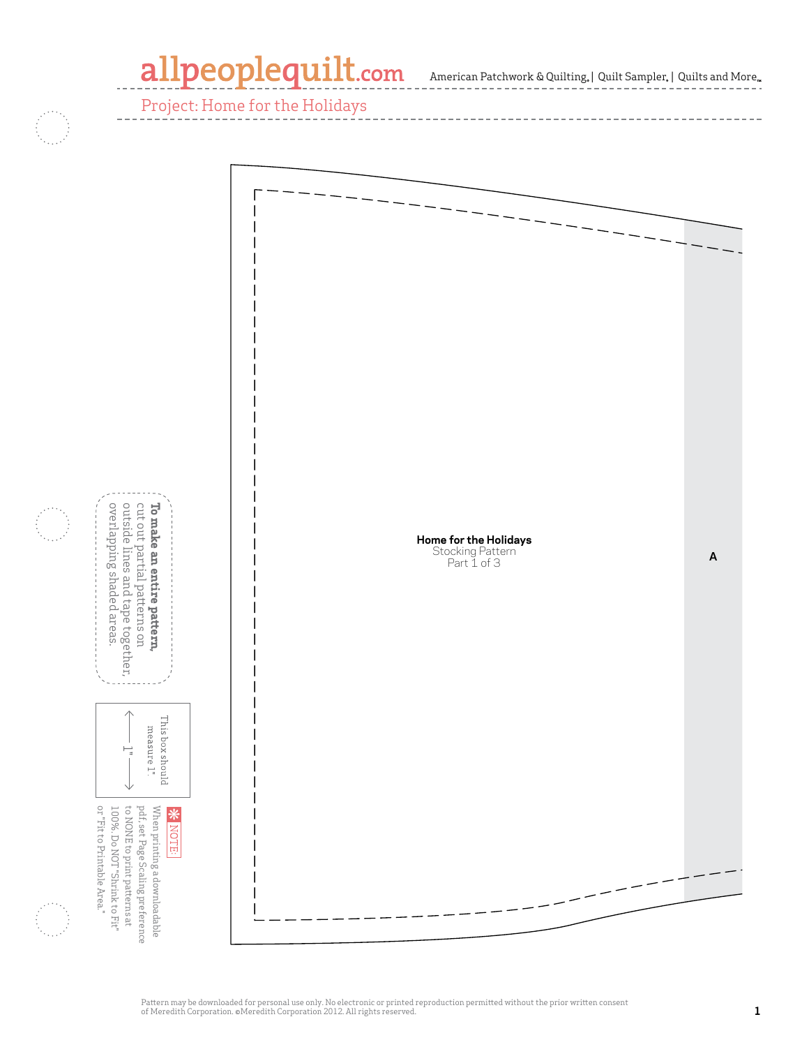## allpeoplequilt.com

 $\mbox{American Patchwork}$  & Quilting,<br>  $|$  Quilt Sampler,  $|$  Quilts and<br>  $\mbox{More}_\infty$ 

Project: Home for the Holidays

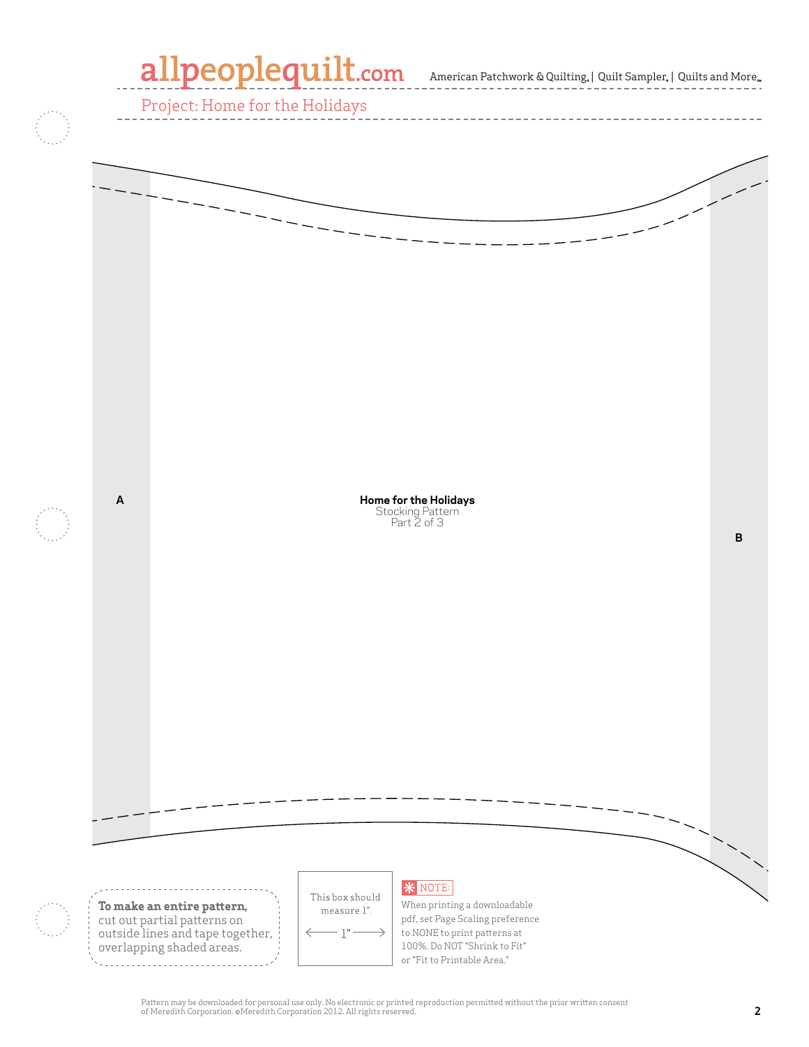

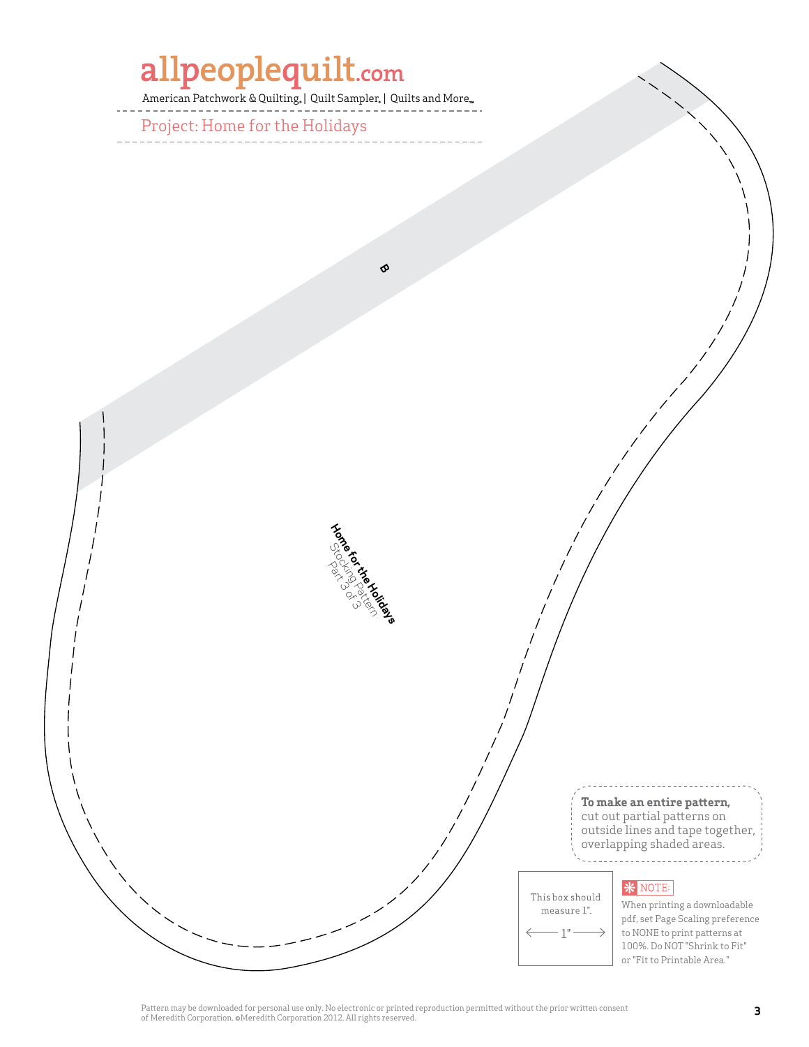# allpeoplequilt.com

American Patchwork & Quilting, | Quilt Sampler, | Quilts and More...

**B**

**Home for Stocking Patterns** 

Project: Home for the Holidays



#### **\*** NOTE:

This box should measure 1".  $1"$ 

When printing a downloadable pdf, set Page Scaling preference to NONE to print patterns at 100%. Do NOT "Shrink to Fit" or "Fit to Printable Area."

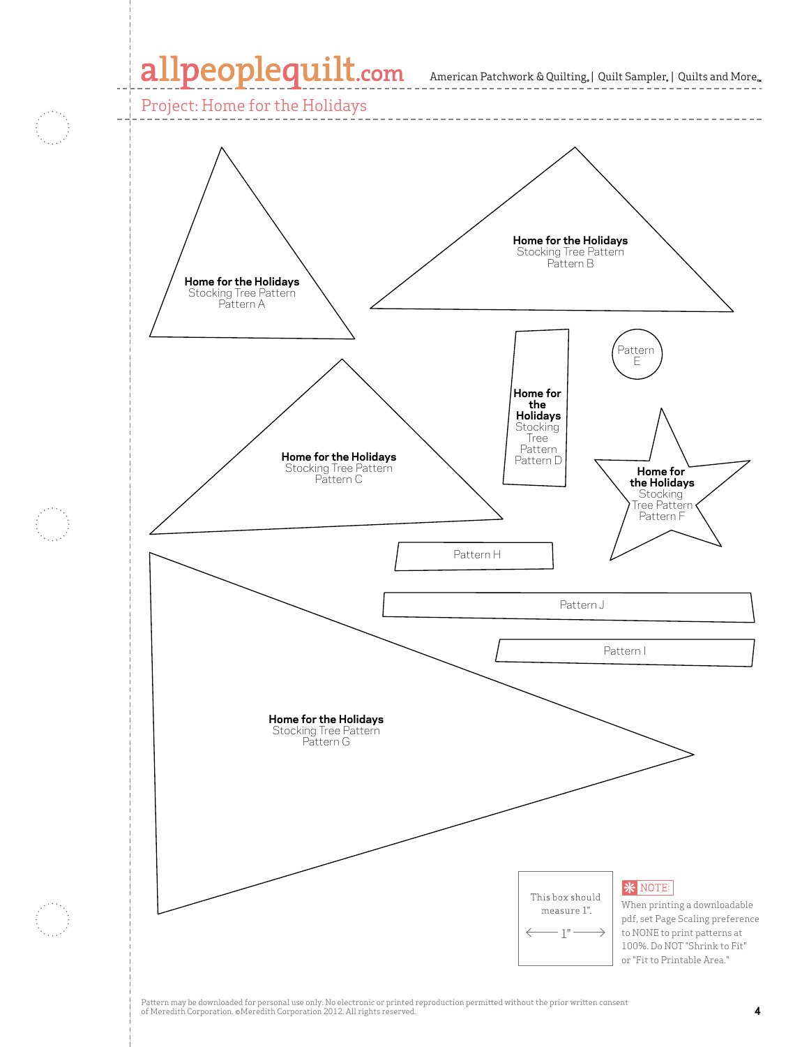### allpeoplequilt.com American Patchwork & Quilting, | Quilt Sampler, | Quilts and More..

Project: Home for the Holidays

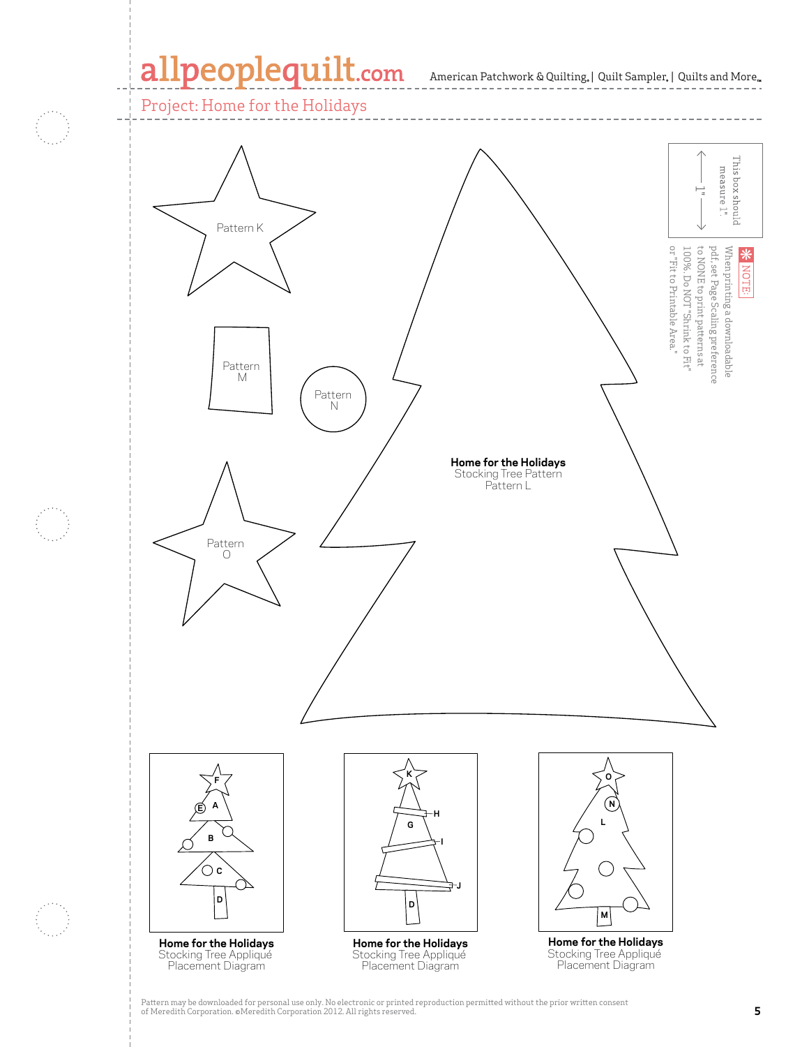#### allpeoplequilt.com

Project: Home for the Holidays

Pattern F